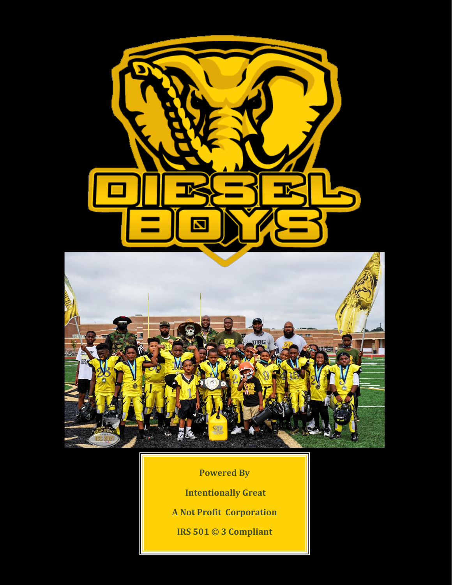

**Powered By Intentionally Great A Not Profit Corporation IRS 501 © 3 Compliant**